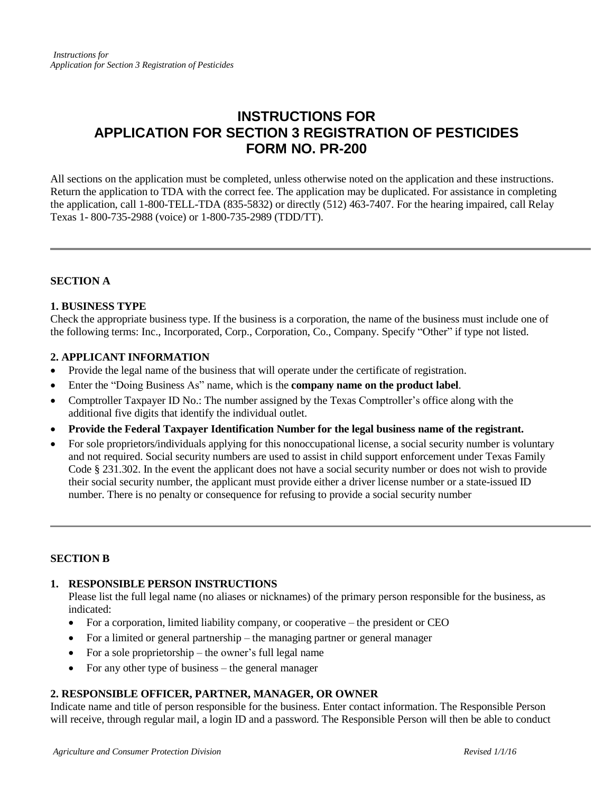# **INSTRUCTIONS FOR APPLICATION FOR SECTION 3 REGISTRATION OF PESTICIDES FORM NO. PR-200**

All sections on the application must be completed, unless otherwise noted on the application and these instructions. Return the application to TDA with the correct fee. The application may be duplicated. For assistance in completing the application, call 1-800-TELL-TDA (835-5832) or directly (512) 463-7407. For the hearing impaired, call Relay Texas 1- 800-735-2988 (voice) or 1-800-735-2989 (TDD/TT).

# **SECTION A**

#### **1. BUSINESS TYPE**

Check the appropriate business type. If the business is a corporation, the name of the business must include one of the following terms: Inc., Incorporated, Corp., Corporation, Co., Company. Specify "Other" if type not listed.

#### **2. APPLICANT INFORMATION**

- Provide the legal name of the business that will operate under the certificate of registration.
- Enter the "Doing Business As" name, which is the **company name on the product label**.
- Comptroller Taxpayer ID No.: The number assigned by the Texas Comptroller's office along with the additional five digits that identify the individual outlet.
- **Provide the Federal Taxpayer Identification Number for the legal business name of the registrant.**
- For sole proprietors/individuals applying for this nonoccupational license, a social security number is voluntary and not required. Social security numbers are used to assist in child support enforcement under Texas Family Code § 231.302. In the event the applicant does not have a social security number or does not wish to provide their social security number, the applicant must provide either a driver license number or a state-issued ID number. There is no penalty or consequence for refusing to provide a social security number

#### **SECTION B**

# **1. RESPONSIBLE PERSON INSTRUCTIONS**

Please list the full legal name (no aliases or nicknames) of the primary person responsible for the business, as indicated:

- For a corporation, limited liability company, or cooperative the president or CEO
- For a limited or general partnership the managing partner or general manager
- For a sole proprietorship the owner's full legal name
- For any other type of business the general manager

# **2. RESPONSIBLE OFFICER, PARTNER, MANAGER, OR OWNER**

Indicate name and title of person responsible for the business. Enter contact information. The Responsible Person will receive, through regular mail, a login ID and a password. The Responsible Person will then be able to conduct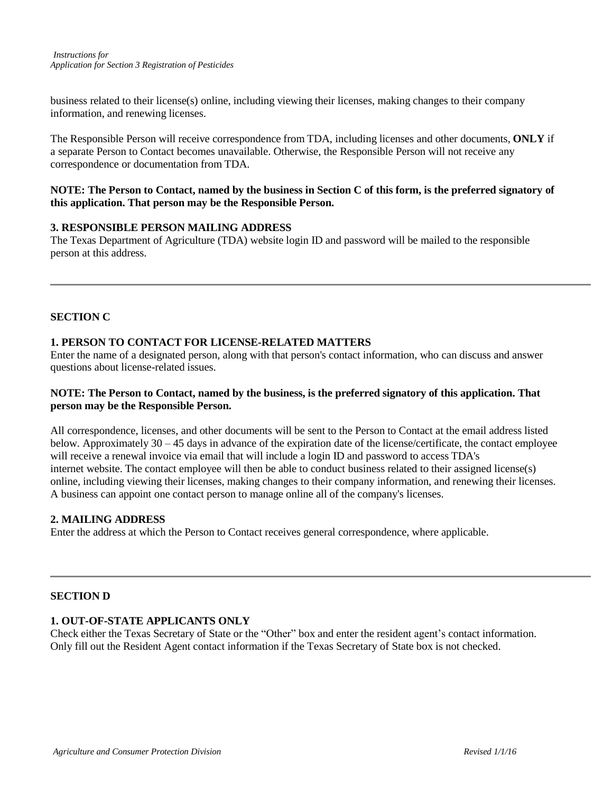business related to their license(s) online, including viewing their licenses, making changes to their company information, and renewing licenses.

The Responsible Person will receive correspondence from TDA, including licenses and other documents, **ONLY** if a separate Person to Contact becomes unavailable. Otherwise, the Responsible Person will not receive any correspondence or documentation from TDA.

#### **NOTE: The Person to Contact, named by the business in Section C of this form, is the preferred signatory of this application. That person may be the Responsible Person.**

#### **3. RESPONSIBLE PERSON MAILING ADDRESS**

The Texas Department of Agriculture (TDA) website login ID and password will be mailed to the responsible person at this address.

## **SECTION C**

#### **1. PERSON TO CONTACT FOR LICENSE-RELATED MATTERS**

Enter the name of a designated person, along with that person's contact information, who can discuss and answer questions about license-related issues.

#### **NOTE: The Person to Contact, named by the business, is the preferred signatory of this application. That person may be the Responsible Person.**

All correspondence, licenses, and other documents will be sent to the Person to Contact at the email address listed below. Approximately  $30 - 45$  days in advance of the expiration date of the license/certificate, the contact employee will receive a renewal invoice via email that will include a login ID and password to access TDA's internet website. The contact employee will then be able to conduct business related to their assigned license(s) online, including viewing their licenses, making changes to their company information, and renewing their licenses. A business can appoint one contact person to manage online all of the company's licenses.

#### **2. MAILING ADDRESS**

Enter the address at which the Person to Contact receives general correspondence, where applicable.

#### **SECTION D**

#### **1. OUT-OF-STATE APPLICANTS ONLY**

Check either the Texas Secretary of State or the "Other" box and enter the resident agent's contact information. Only fill out the Resident Agent contact information if the Texas Secretary of State box is not checked.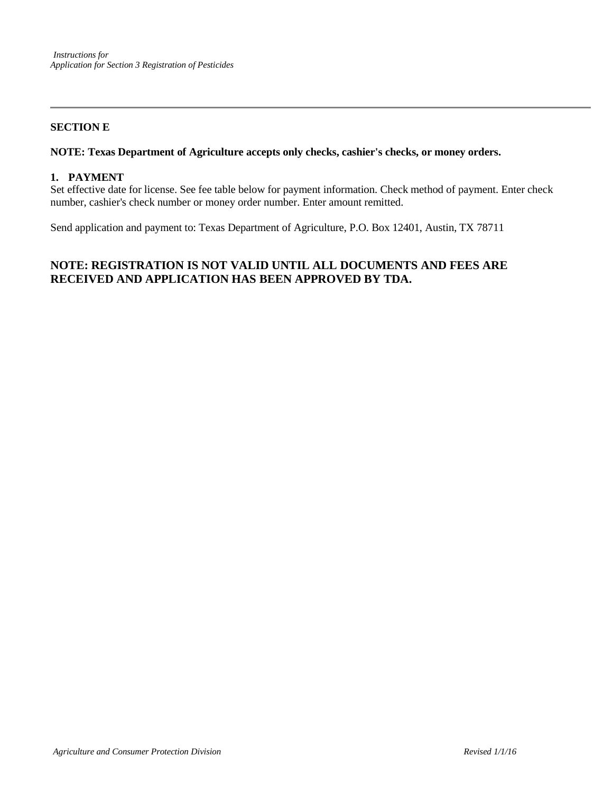## **SECTION E**

#### **NOTE: Texas Department of Agriculture accepts only checks, cashier's checks, or money orders.**

#### **1. PAYMENT**

Set effective date for license. See fee table below for payment information. Check method of payment. Enter check number, cashier's check number or money order number. Enter amount remitted.

Send application and payment to: Texas Department of Agriculture, P.O. Box 12401, Austin, TX 78711

# **NOTE: REGISTRATION IS NOT VALID UNTIL ALL DOCUMENTS AND FEES ARE RECEIVED AND APPLICATION HAS BEEN APPROVED BY TDA.**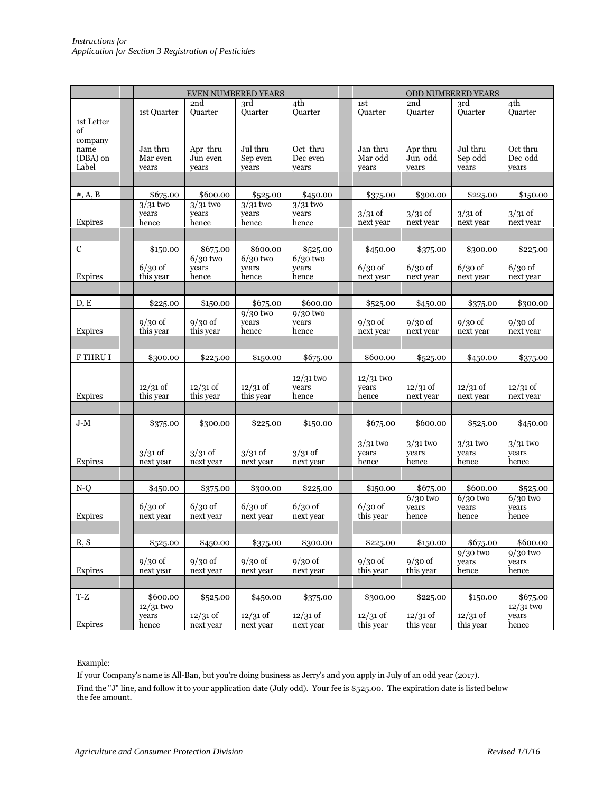|                                   | <b>EVEN NUMBERED YEARS</b>    |                              |                              |                               |  | ODD NUMBERED YEARS            |                              |                              |                               |
|-----------------------------------|-------------------------------|------------------------------|------------------------------|-------------------------------|--|-------------------------------|------------------------------|------------------------------|-------------------------------|
|                                   |                               | 2nd                          | 3rd                          | 4th                           |  | 1st                           | 2nd                          | 3rd                          | 4th                           |
| 1st Letter                        | 1st Quarter                   | Quarter                      | Quarter                      | Ouarter                       |  | Quarter                       | Quarter                      | Quarter                      | Quarter                       |
| of<br>company<br>name<br>(DBA) on | Jan thru<br>Mar even          | Apr thru<br>Jun even         | Jul thru<br>Sep even         | Oct thru<br>Dec even          |  | Jan thru<br>Mar odd           | Apr thru<br>Jun odd          | Jul thru<br>Sep odd          | Oct thru<br>Dec odd           |
| Label                             | years                         | years                        | years                        | years                         |  | years                         | years                        | years                        | years                         |
|                                   |                               |                              |                              |                               |  |                               |                              |                              |                               |
| $#$ , A, B                        | \$675.00                      | \$600.00                     | \$525.00                     | \$450.00                      |  | \$375.00                      | \$300.00                     | \$225.00                     | \$150.00                      |
| Expires                           | $3/31$ two<br>vears<br>hence  | $3/31$ two<br>vears<br>hence | $3/31$ two<br>years<br>hence | $3/31$ two<br>years<br>hence  |  | $3/31$ of<br>next year        | $3/31$ of<br>next year       | $3/31$ of<br>next year       | $3/31$ of<br>next year        |
|                                   |                               |                              |                              |                               |  |                               |                              |                              |                               |
| $\mathbf C$                       | \$150.00                      | \$675.00                     | \$600.00                     | \$525.00                      |  | \$450.00                      | \$375.00                     | \$300.00                     | \$225.00                      |
| Expires                           | $6/30$ of<br>this year        | $6/30$ two<br>years<br>hence | $6/30$ two<br>years<br>hence | $6/30$ two<br>years<br>hence  |  | $6/30$ of<br>next year        | $6/30$ of<br>next year       | $6/30$ of<br>next year       | $6/30$ of<br>next year        |
|                                   |                               |                              |                              |                               |  |                               |                              |                              |                               |
| D, E                              | \$225.00                      | \$150.00                     | \$675.00                     | \$600.00                      |  | \$525.00                      | \$450.00                     | \$375.00                     | \$300.00                      |
| Expires                           | $9/30$ of<br>this year        | $9/30$ of<br>this year       | $9/30$ two<br>years<br>hence | $9/30$ two<br>years<br>hence  |  | $9/30$ of<br>next year        | $9/30$ of<br>next year       | $9/30$ of<br>next year       | $9/30$ of<br>next year        |
|                                   |                               |                              |                              |                               |  |                               |                              |                              |                               |
| F THRU I                          | \$300.00                      | \$225.00                     | \$150.00                     | \$675.00                      |  | \$600.00                      | \$525.00                     | \$450.00                     | \$375.00                      |
| Expires                           | $12/31$ of<br>this year       | $12/31$ of<br>this year      | $12/31$ of<br>this year      | $12/31$ two<br>years<br>hence |  | $12/31$ two<br>years<br>hence | $12/31$ of<br>next year      | $12/31$ of<br>next year      | $12/31$ of<br>next year       |
| J-M                               | \$375.00                      | \$300.00                     | \$225.00                     | \$150.00                      |  | \$675.00                      | \$600.00                     | \$525.00                     | \$450.00                      |
| Expires                           | $3/31$ of<br>next year        | $3/31$ of<br>next year       | $3/31$ of<br>next year       | $3/31$ of<br>next year        |  | $3/31$ two<br>years<br>hence  | $3/31$ two<br>years<br>hence | $3/31$ two<br>years<br>hence | $3/31$ two<br>years<br>hence  |
|                                   |                               |                              |                              |                               |  |                               |                              |                              |                               |
| N-Q                               | \$450.00                      | \$375.00                     | \$300.00                     | \$225.00                      |  | \$150.00                      | \$675.00                     | \$600.00                     | \$525.00                      |
| Expires                           | $6/30$ of<br>next year        | $6/30$ of<br>next year       | $6/30$ of<br>next year       | $6/30$ of<br>next year        |  | $6/30$ of<br>this year        | $6/30$ two<br>years<br>hence | $6/30$ two<br>years<br>hence | $6/30$ two<br>years<br>hence  |
|                                   |                               |                              |                              |                               |  |                               |                              |                              |                               |
| R, S                              | \$525.00                      | \$450.00                     | \$375.00                     | \$300.00                      |  | \$225.00                      | \$150.00                     | \$675.00<br>$9/30$ two       | \$600.00                      |
| Expires                           | $9/30$ of<br>next year        | $9/30$ of<br>next year       | $9/30$ of<br>next year       | $9/30$ of<br>next year        |  | $9/30$ of<br>this year        | $9/30$ of<br>this year       | years<br>hence               | $9/30$ two<br>years<br>hence  |
|                                   |                               |                              |                              |                               |  |                               |                              |                              |                               |
| T-Z                               | \$600.00                      | \$525.00                     | \$450.00                     | \$375.00                      |  | \$300.00                      | \$225.00                     | \$1,50.00                    | \$675.00                      |
| Expires                           | $12/31$ two<br>years<br>hence | $12/31$ of<br>next year      | $12/31$ of<br>next year      | $12/31$ of<br>next year       |  | $12/31$ of<br>this year       | $12/31$ of<br>this year      | $12/31$ of<br>this year      | $12/31$ two<br>years<br>hence |

Example:

If your Company's name is All-Ban, but you're doing business as Jerry's and you apply in July of an odd year (2017). Find the "J" line, and follow it to your application date (July odd). Your fee is \$525.00. The expiration date is listed below the fee amount.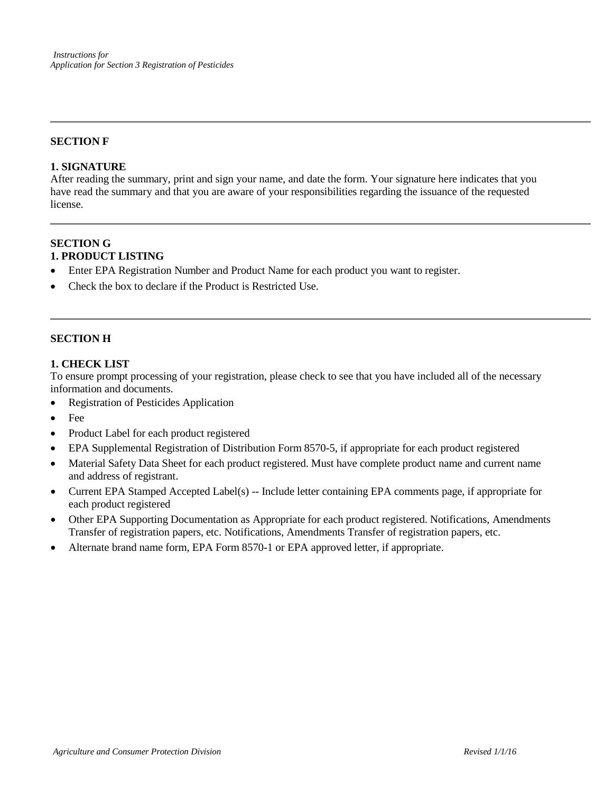#### **SECTION F**

#### **1. SIGNATURE**

After reading the summary, print and sign your name, and date the form. Your signature here indicates that you have read the summary and that you are aware of your responsibilities regarding the issuance of the requested license.

#### **SECTION G 1. PRODUCT LISTING**

- Enter EPA Registration Number and Product Name for each product you want to register.
- Check the box to declare if the Product is Restricted Use.

#### **SECTION H**

#### **1. CHECK LIST**

To ensure prompt processing of your registration, please check to see that you have included all of the necessary information and documents.

- Registration of Pesticides Application
- Fee
- Product Label for each product registered
- EPA Supplemental Registration of Distribution Form 8570-5, if appropriate for each product registered
- Material Safety Data Sheet for each product registered. Must have complete product name and current name and address of registrant.
- Current EPA Stamped Accepted Label(s) -- Include letter containing EPA comments page, if appropriate for each product registered
- Other EPA Supporting Documentation as Appropriate for each product registered. Notifications, Amendments Transfer of registration papers, etc. Notifications, Amendments Transfer of registration papers, etc.
- Alternate brand name form, EPA Form 8570-1 or EPA approved letter, if appropriate.